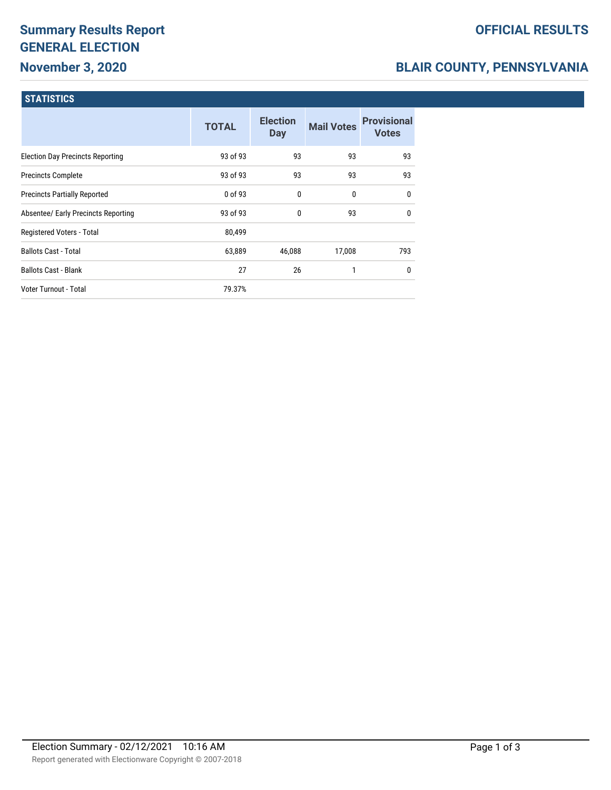# **Summary Results Report GENERAL ELECTION November 3, 2020**

# **OFFICIAL RESULTS**

# **BLAIR COUNTY, PENNSYLVANIA**

### **STATISTICS**

|                                         | <b>TOTAL</b> | <b>Election</b><br><b>Day</b> | <b>Mail Votes</b> | <b>Provisional</b><br><b>Votes</b> |
|-----------------------------------------|--------------|-------------------------------|-------------------|------------------------------------|
| <b>Election Day Precincts Reporting</b> | 93 of 93     | 93                            | 93                | 93                                 |
| <b>Precincts Complete</b>               | 93 of 93     | 93                            | 93                | 93                                 |
| <b>Precincts Partially Reported</b>     | 0 of 93      | $\mathbf{0}$                  | 0                 | $\mathbf{0}$                       |
| Absentee/ Early Precincts Reporting     | 93 of 93     | 0                             | 93                | $\mathbf{0}$                       |
| Registered Voters - Total               | 80,499       |                               |                   |                                    |
| <b>Ballots Cast - Total</b>             | 63,889       | 46,088                        | 17,008            | 793                                |
| <b>Ballots Cast - Blank</b>             | 27           | 26                            |                   | 0                                  |
| <b>Voter Turnout - Total</b>            | 79.37%       |                               |                   |                                    |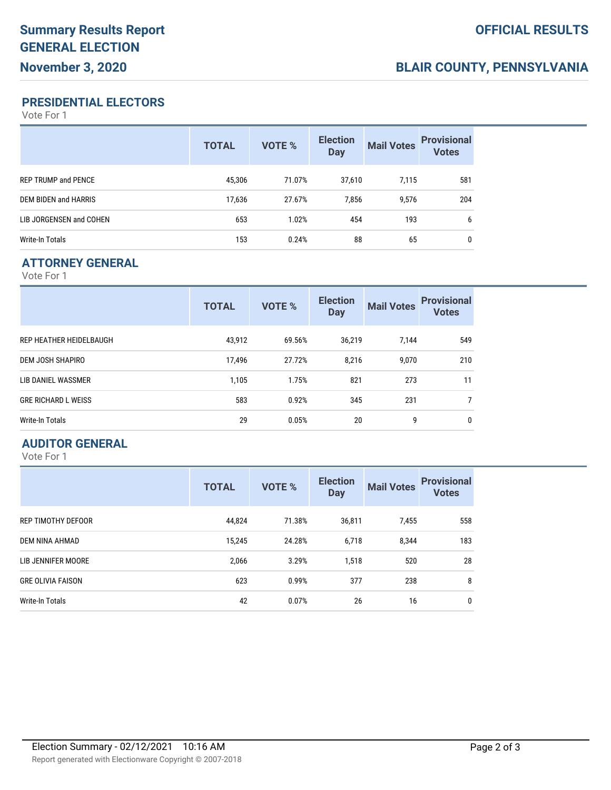# **BLAIR COUNTY, PENNSYLVANIA**

#### **PRESIDENTIAL ELECTORS**

Vote For 1

|                            | <b>TOTAL</b> | VOTE % | <b>Election</b><br><b>Day</b> | <b>Mail Votes</b> | <b>Provisional</b><br><b>Votes</b> |
|----------------------------|--------------|--------|-------------------------------|-------------------|------------------------------------|
| <b>REP TRUMP and PENCE</b> | 45,306       | 71.07% | 37.610                        | 7.115             | 581                                |
| DEM BIDEN and HARRIS       | 17,636       | 27.67% | 7.856                         | 9,576             | 204                                |
| LIB JORGENSEN and COHEN    | 653          | 1.02%  | 454                           | 193               | 6                                  |
| Write-In Totals            | 153          | 0.24%  | 88                            | 65                | 0                                  |

## **ATTORNEY GENERAL**

Vote For 1

|                            | <b>TOTAL</b> | <b>VOTE %</b> | <b>Election</b><br><b>Day</b> | <b>Mail Votes</b> | <b>Provisional</b><br><b>Votes</b> |
|----------------------------|--------------|---------------|-------------------------------|-------------------|------------------------------------|
| REP HEATHER HEIDELBAUGH    | 43,912       | 69.56%        | 36,219                        | 7,144             | 549                                |
| DEM JOSH SHAPIRO           | 17,496       | 27.72%        | 8,216                         | 9,070             | 210                                |
| LIB DANIEL WASSMER         | 1,105        | 1.75%         | 821                           | 273               | 11                                 |
| <b>GRE RICHARD L WEISS</b> | 583          | 0.92%         | 345                           | 231               | 7                                  |
| Write-In Totals            | 29           | 0.05%         | 20                            | 9                 | 0                                  |

#### **AUDITOR GENERAL**

Vote For 1

|                          | <b>TOTAL</b> | <b>VOTE %</b> | <b>Election</b><br><b>Day</b> | <b>Mail Votes</b> | <b>Provisional</b><br><b>Votes</b> |
|--------------------------|--------------|---------------|-------------------------------|-------------------|------------------------------------|
| REP TIMOTHY DEFOOR       | 44,824       | 71.38%        | 36,811                        | 7,455             | 558                                |
| DEM NINA AHMAD           | 15,245       | 24.28%        | 6,718                         | 8,344             | 183                                |
| LIB JENNIFER MOORE       | 2,066        | 3.29%         | 1,518                         | 520               | 28                                 |
| <b>GRE OLIVIA FAISON</b> | 623          | 0.99%         | 377                           | 238               | 8                                  |
| Write-In Totals          | 42           | 0.07%         | 26                            | 16                | 0                                  |